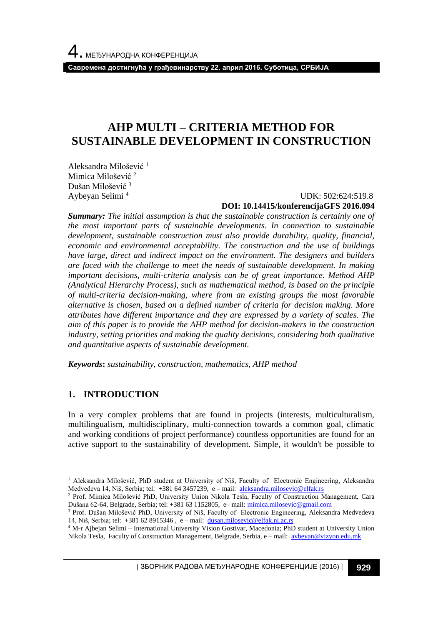# **AHP MULTI – CRITERIA METHOD FOR SUSTAINABLE DEVELOPMENT IN CONSTRUCTION**

Aleksandra Milošević <sup>1</sup> Mimica Milošević <sup>2</sup> Dušan Milošević <sup>3</sup> Aybeyan Selimi <sup>4</sup>

### UDK: 502:624:519.8 **DOI: 10.14415/konferencijaGFS 2016.094**

*Summary: The initial assumption is that the sustainable construction is certainly one of the most important parts of sustainable developments. In connection to sustainable development, sustainable construction must also provide durability, quality, financial, economic and environmental acceptability. The construction and the use of buildings have large, direct and indirect impact on the environment. The designers and builders are faced with the challenge to meet the needs of sustainable development. In making important decisions, multi-criteria analysis can be of great importance. Method AHP (Analytical Hierarchy Process), such as mathematical method, is based on the principle of multi-criteria decision-making, where from an existing groups the most favorable alternative is chosen, based on a defined number of criteria for decision making. More attributes have different importance and they are expressed by a variety of scales. The aim of this paper is to provide the AHP method for decision-makers in the construction industry, setting priorities and making the quality decisions, considering both qualitative and quantitative aspects of sustainable development.*

*Keywords***:** *sustainability, construction, mathematics, AHP method*

# **1. INTRODUCTION**

In a very complex problems that are found in projects (interests, multiculturalism, multilingualism, multidisciplinary, multi-connection towards a common goal, climatic and working conditions of project performance) countless opportunities are found for an active support to the sustainability of development. Simple, it wouldn't be possible to

| ЗБОРНИК РАДОВА МЕЂУНАРОДНЕ КОНФЕРЕНЦИЈЕ (2016) | **929**

l <sup>1</sup> Aleksandra Milošević, PhD student at University of Niš, Faculty of Electronic Engineering, Aleksandra Medvedeva 14, Niš, Serbia; tel: +381 64 3457239, e – mail: [aleksandra.milosevic@elfak.rs](mailto:aleksandra.milosevic@elfak.rs)

<sup>2</sup> Prof. Mimica Milošević PhD, University Union Nikola Tesla, Faculty of Construction Management, Cara Dušana 62-64, Belgrade, Serbia; tel: +381 63 1152805, e– mail[: mimica.milosevic@gmail.com](mailto:mimica.milosevic@gmail.com)

<sup>&</sup>lt;sup>3</sup> Prof. Dušan Milošević PhD, University of Niš, Faculty of Electronic Engineering, Aleksandra Medvedeva 14, Niš, Serbia; tel: +381 62 8915346 , e – mail: [dusan.milosevic@elfak.ni.ac.rs](mailto:dusan.milosevic@elfak.ni.ac.rs)

<sup>4</sup> M-r Ajbejan Selimi – International University Vision Gostivar, Macedonia; PhD student at University Union Nikola Tesla, Faculty of Construction Management, Belgrade, Serbia, e – mail: [aybeyan@vizyon.edu.mk](mailto:aybeyan@vizyon.edu.mk)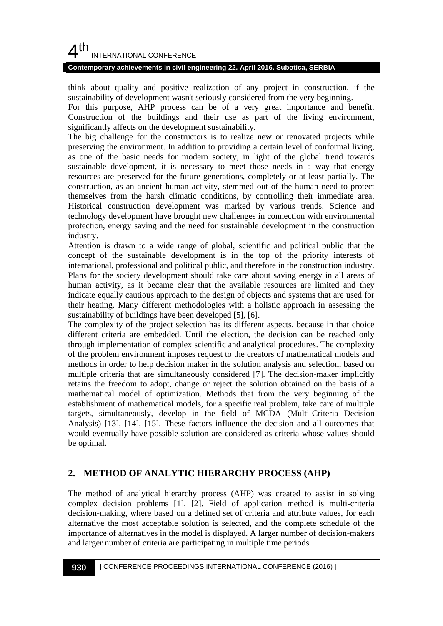# $4<sup>th</sup>$ INTERNATIONAL CONFERENCE

### **Contemporary achievements in civil engineering 22. April 2016. Subotica, SERBIA**

think about quality and positive realization of any project in construction, if the sustainability of development wasn't seriously considered from the very beginning.

For this purpose, AHP process can be of a very great importance and benefit. Construction of the buildings and their use as part of the living environment, significantly affects on the development sustainability.

The big challenge for the constructors is to realize new or renovated projects while preserving the environment. In addition to providing a certain level of conformal living, as one of the basic needs for modern society, in light of the global trend towards sustainable development, it is necessary to meet those needs in a way that energy resources are preserved for the future generations, completely or at least partially. The construction, as an ancient human activity, stemmed out of the human need to protect themselves from the harsh climatic conditions, by controlling their immediate area. Historical construction development was marked by various trends. Science and technology development have brought new challenges in connection with environmental protection, energy saving and the need for sustainable development in the construction industry.

Attention is drawn to a wide range of global, scientific and political public that the concept of the sustainable development is in the top of the priority interests of international, professional and political public, and therefore in the construction industry. Plans for the society development should take care about saving energy in all areas of human activity, as it became clear that the available resources are limited and they indicate equally cautious approach to the design of objects and systems that are used for their heating. Many different methodologies with a holistic approach in assessing the sustainability of buildings have been developed [5], [6].

The complexity of the project selection has its different aspects, because in that choice different criteria are embedded. Until the election, the decision can be reached only through implementation of complex scientific and analytical procedures. The complexity of the problem environment imposes request to the creators of mathematical models and methods in order to help decision maker in the solution analysis and selection, based on multiple criteria that are simultaneously considered [7]. The decision-maker implicitly retains the freedom to adopt, change or reject the solution obtained on the basis of a mathematical model of optimization. Methods that from the very beginning of the establishment of mathematical models, for a specific real problem, take care of multiple targets, simultaneously, develop in the field of MCDA (Multi-Criteria Decision Analysis) [13], [14], [15]. These factors influence the decision and all outcomes that would eventually have possible solution are considered as criteria whose values should be optimal.

# **2. METHOD OF ANALYTIC HIERARCHY PROCESS (AHP)**

The method of analytical hierarchy process (AHP) was created to assist in solving complex decision problems [1], [2]. Field of application method is multi-criteria decision-making, where based on a defined set of criteria and attribute values, for each alternative the most acceptable solution is selected, and the complete schedule of the importance of alternatives in the model is displayed. A larger number of decision-makers and larger number of criteria are participating in multiple time periods.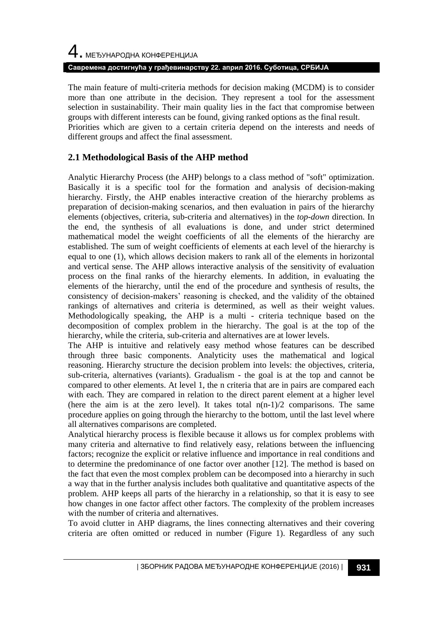# 4. МЕЂУНАРОДНА КОНФЕРЕНЦИЈА **Савремена достигнућа у грађевинарству 22. април 2016. Суботица, СРБИЈА**

The main feature of multi-criteria methods for decision making (MCDM) is to consider more than one attribute in the decision. They represent a tool for the assessment selection in sustainability. Their main quality lies in the fact that compromise between groups with different interests can be found, giving ranked options as the final result. Priorities which are given to a certain criteria depend on the interests and needs of different groups and affect the final assessment.

# **2.1 Methodological Basis of the AHP method**

Analytic Hierarchy Process (the AHP) belongs to a class method of "soft" optimization. Basically it is a specific tool for the formation and analysis of decision-making hierarchy. Firstly, the AHP enables interactive creation of the hierarchy problems as preparation of decision-making scenarios, and then evaluation in pairs of the hierarchy elements (objectives, criteria, sub-criteria and alternatives) in the *top-down* direction. In the end, the synthesis of all evaluations is done, and under strict determined mathematical model the weight coefficients of all the elements of the hierarchy are established. The sum of weight coefficients of elements at each level of the hierarchy is equal to one (1), which allows decision makers to rank all of the elements in horizontal and vertical sense. The AHP allows interactive analysis of the sensitivity of evaluation process on the final ranks of the hierarchy elements. In addition, in evaluating the elements of the hierarchy, until the end of the procedure and synthesis of results, the consistency of decision-makers' reasoning is checked, and the validity of the obtained rankings of alternatives and criteria is determined, as well as their weight values. Methodologically speaking, the AHP is a multi - criteria technique based on the decomposition of complex problem in the hierarchy. The goal is at the top of the hierarchy, while the criteria, sub-criteria and alternatives are at lower levels.

The AHP is intuitive and relatively easy method whose features can be described through three basic components. Analyticity uses the mathematical and logical reasoning. Hierarchy structure the decision problem into levels: the objectives, criteria, sub-criteria, alternatives (variants). Gradualism - the goal is at the top and cannot be compared to other elements. At level 1, the n criteria that are in pairs are compared each with each. They are compared in relation to the direct parent element at a higher level (here the aim is at the zero level). It takes total  $n(n-1)/2$  comparisons. The same procedure applies on going through the hierarchy to the bottom, until the last level where all alternatives comparisons are completed.

Analytical hierarchy process is flexible because it allows us for complex problems with many criteria and alternative to find relatively easy, relations between the influencing factors; recognize the explicit or relative influence and importance in real conditions and to determine the predominance of one factor over another [12]. The method is based on the fact that even the most complex problem can be decomposed into a hierarchy in such a way that in the further analysis includes both qualitative and quantitative aspects of the problem. AHP keeps all parts of the hierarchy in a relationship, so that it is easy to see how changes in one factor affect other factors. The complexity of the problem increases with the number of criteria and alternatives.

To avoid clutter in AHP diagrams, the lines connecting alternatives and their covering criteria are often omitted or reduced in number (Figure 1). Regardless of any such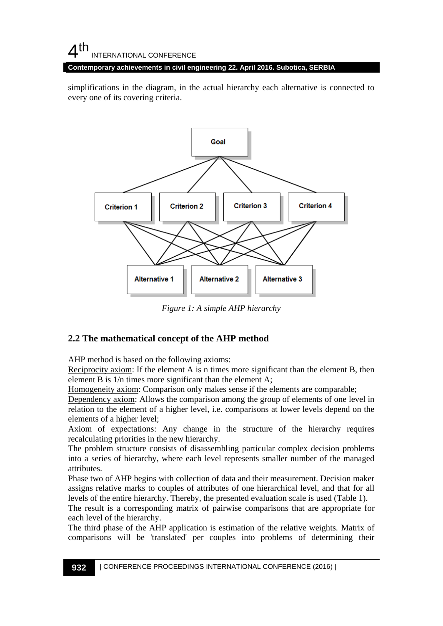# $4<sup>th</sup>$ INTERNATIONAL CONFERENCE

**Contemporary achievements in civil engineering 22. April 2016. Subotica, SERBIA**

simplifications in the diagram, in the actual hierarchy each alternative is connected to every one of its covering criteria.



*Figure 1: A simple AHP hierarchy*

# **2.2 The mathematical concept of the AHP method**

AHP method is based on the following axioms:

Reciprocity axiom: If the element A is n times more significant than the element B, then element B is 1/n times more significant than the element A;

Homogeneity axiom: Comparison only makes sense if the elements are comparable;

Dependency axiom: Allows the comparison among the group of elements of one level in relation to the element of a higher level, i.e. comparisons at lower levels depend on the elements of a higher level;

Axiom of expectations: Any change in the structure of the hierarchy requires recalculating priorities in the new hierarchy.

The problem structure consists of disassembling particular complex decision problems into a series of hierarchy, where each level represents smaller number of the managed attributes.

Phase two of AHP begins with collection of data and their measurement. Decision maker assigns relative marks to couples of attributes of one hierarchical level, and that for all levels of the entire hierarchy. Thereby, the presented evaluation scale is used (Table 1).

The result is a corresponding matrix of pairwise comparisons that are appropriate for each level of the hierarchy.

The third phase of the AHP application is estimation of the relative weights. Matrix of comparisons will be 'translated' per couples into problems of determining their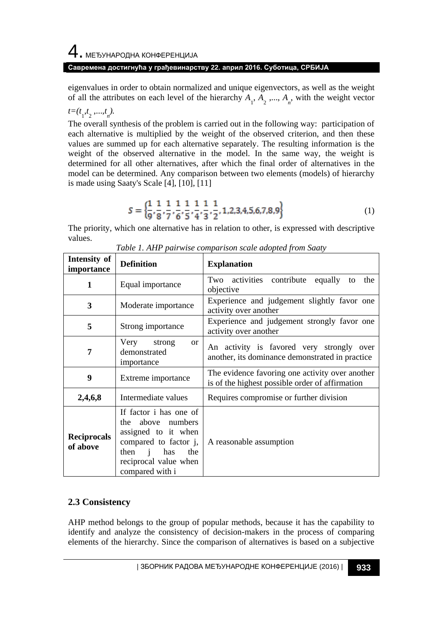eigenvalues in order to obtain normalized and unique eigenvectors, as well as the weight of all the attributes on each level of the hierarchy  $A_1, A_2, ..., A_n$ , with the weight vector

*t*=(*t*<sub>1</sub>,*t*<sub>2</sub>, ...,*t*<sub>*n*</sub>).

The overall synthesis of the problem is carried out in the following way: participation of each alternative is multiplied by the weight of the observed criterion, and then these values are summed up for each alternative separately. The resulting information is the weight of the observed alternative in the model. In the same way, the weight is determined for all other alternatives, after which the final order of alternatives in the model can be determined. Any comparison between two elements (models) of hierarchy is made using Saaty's Scale [4], [10], [11]

$$
S = \left\{ \frac{1}{9}, \frac{1}{8}, \frac{1}{7}, \frac{1}{6}, \frac{1}{5}, \frac{1}{4}, \frac{1}{3}, \frac{1}{2}, 1, 2, 3, 4, 5, 6, 7, 8, 9 \right\}
$$
(1)

The priority, which one alternative has in relation to other, is expressed with descriptive values.

| Intensity of<br>importance     | <b>Definition</b>                                                                                                                                                   | <b>Explanation</b>                                                                                 |  |  |  |  |
|--------------------------------|---------------------------------------------------------------------------------------------------------------------------------------------------------------------|----------------------------------------------------------------------------------------------------|--|--|--|--|
| 1                              | Equal importance                                                                                                                                                    | Two activities contribute<br>equally<br>the<br>to<br>objective                                     |  |  |  |  |
| 3                              | Experience and judgement slightly favor one<br>Moderate importance<br>activity over another                                                                         |                                                                                                    |  |  |  |  |
| 5                              | Experience and judgement strongly favor one<br>Strong importance<br>activity over another                                                                           |                                                                                                    |  |  |  |  |
| 7                              | Very strong<br>$\alpha$<br>demonstrated<br>importance                                                                                                               | An activity is favored very strongly over<br>another, its dominance demonstrated in practice       |  |  |  |  |
| 9                              | Extreme importance                                                                                                                                                  | The evidence favoring one activity over another<br>is of the highest possible order of affirmation |  |  |  |  |
| 2,4,6,8                        | Intermediate values                                                                                                                                                 | Requires compromise or further division                                                            |  |  |  |  |
| <b>Reciprocals</b><br>of above | If factor i has one of<br>the above numbers<br>assigned to it when<br>compared to factor j,<br>$then$ $i$<br>has<br>the<br>reciprocal value when<br>compared with i | A reasonable assumption                                                                            |  |  |  |  |

| Table 1. AHP pairwise comparison scale adopted from Saaty |  |  |  |
|-----------------------------------------------------------|--|--|--|
|                                                           |  |  |  |

# **2.3 Consistency**

AHP method belongs to the group of popular methods, because it has the capability to identify and analyze the consistency of decision-makers in the process of comparing elements of the hierarchy. Since the comparison of alternatives is based on a subjective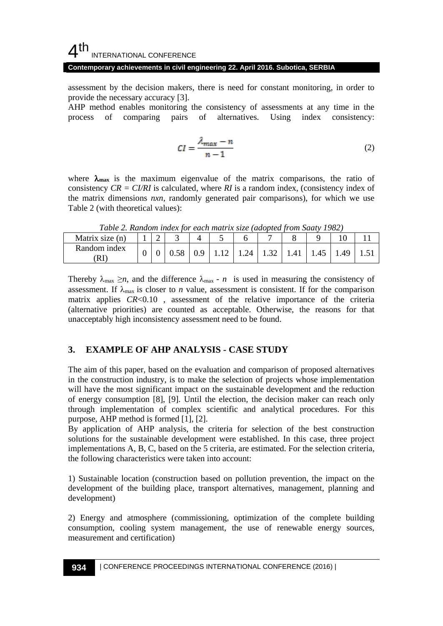#### 4 th INTERNATIONAL CONFERENCE

### **Contemporary achievements in civil engineering 22. April 2016. Subotica, SERBIA**

assessment by the decision makers, there is need for constant monitoring, in order to provide the necessary accuracy [3].

AHP method enables monitoring the consistency of assessments at any time in the process of comparing pairs of alternatives. Using index consistency:

$$
CI = \frac{\lambda_{max} - n}{n - 1} \tag{2}
$$

where  $\lambda_{\text{max}}$  is the maximum eigenvalue of the matrix comparisons, the ratio of consistency *CR = CI/RI* is calculated, where *RI* is a random index, (consistency index of the matrix dimensions *nxn*, randomly generated pair comparisons), for which we use Table 2 (with theoretical values):

| <b>Tubic 2. Kundom mack for cach man ix sige (adopted from baan 1702)</b> |  |  |  |                                                             |  |  |
|---------------------------------------------------------------------------|--|--|--|-------------------------------------------------------------|--|--|
| Matrix size (n)                                                           |  |  |  |                                                             |  |  |
| Random index<br>ſRΙ                                                       |  |  |  | 0.58   0.9   1.12   1.24   1.32   1.41   1.45   1.49   1.51 |  |  |

*Table 2. Random index for each matrix size (adopted from Saaty 1982)*

Thereby  $\lambda_{\text{max}} \geq n$ , and the difference  $\lambda_{\text{max}}$  - *n* is used in measuring the consistency of assessment. If  $\lambda_{\text{max}}$  is closer to *n* value, assessment is consistent. If for the comparison matrix applies *CR*<0.10, assessment of the relative importance of the criteria (alternative priorities) are counted as acceptable. Otherwise, the reasons for that unacceptably high inconsistency assessment need to be found.

### **3. EXAMPLE OF AHP ANALYSIS - CASE STUDY**

The aim of this paper, based on the evaluation and comparison of proposed alternatives in the construction industry, is to make the selection of projects whose implementation will have the most significant impact on the sustainable development and the reduction of energy consumption [8], [9]. Until the election, the decision maker can reach only through implementation of complex scientific and analytical procedures. For this purpose, AHP method is formed [1], [2].

By application of AHP analysis, the criteria for selection of the best construction solutions for the sustainable development were established. In this case, three project implementations A, B, C, based on the 5 criteria, are estimated. For the selection criteria, the following characteristics were taken into account:

1) Sustainable location (construction based on pollution prevention, the impact on the development of the building place, transport alternatives, management, planning and development)

2) Energy and atmosphere (commissioning, optimization of the complete building consumption, cooling system management, the use of renewable energy sources, measurement and certification)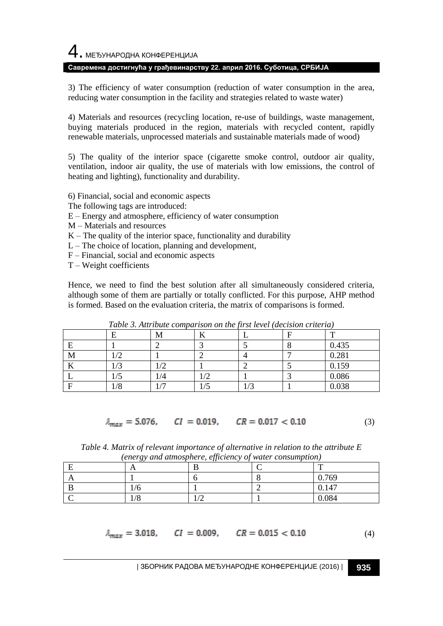3) The efficiency of water consumption (reduction of water consumption in the area, reducing water consumption in the facility and strategies related to waste water)

4) Materials and resources (recycling location, re-use of buildings, waste management, buying materials produced in the region, materials with recycled content, rapidly renewable materials, unprocessed materials and sustainable materials made of wood)

5) The quality of the interior space (cigarette smoke control, outdoor air quality, ventilation, indoor air quality, the use of materials with low emissions, the control of heating and lighting), functionality and durability.

6) Financial, social and economic aspects

- The following tags are introduced:
- E Energy and atmosphere, efficiency of water consumption
- M Materials and resources
- $K$  The quality of the interior space, functionality and durability
- $L$  The choice of location, planning and development,
- F Financial, social and economic aspects
- T Weight coefficients

Hence, we need to find the best solution after all simultaneously considered criteria, although some of them are partially or totally conflicted. For this purpose, AHP method is formed. Based on the evaluation criteria, the matrix of comparisons is formed.

|                         |       | Tuble 5. The load comparison on the first teret faceiston criterial |      |     |        |
|-------------------------|-------|---------------------------------------------------------------------|------|-----|--------|
|                         |       | М                                                                   |      |     | m      |
|                         |       |                                                                     |      |     | 0.435  |
| М                       | - ≀ ∠ |                                                                     | ∸    |     | 0.281  |
| $\overline{\mathbf{v}}$ | L/9   | 17 Z                                                                |      |     | 0.159  |
|                         | 17 J  | 1/4                                                                 |      |     | 0.086  |
|                         | 1/8   |                                                                     | 17 J | L/9 | N N 20 |

*Table 3. Attribute comparison on the first level (decision criteria)*

 $\lambda_{max} = 5.076$ ,  $CI = 0.019$ ,  $CR = 0.017 < 0.10$ (3)

*Table 4. Matrix of relevant importance of alternative in relation to the attribute E (energy and atmosphere, efficiency of water consumption)*

| $\cdots$   |  |               |
|------------|--|---------------|
|            |  | m             |
|            |  | 0.769         |
| 17 U       |  | 4.47<br>0.14, |
| <b>TID</b> |  | 0.084         |

$$
\lambda_{max} = 3.018, \qquad CI = 0.009, \qquad CR = 0.015 < 0.10
$$

(4)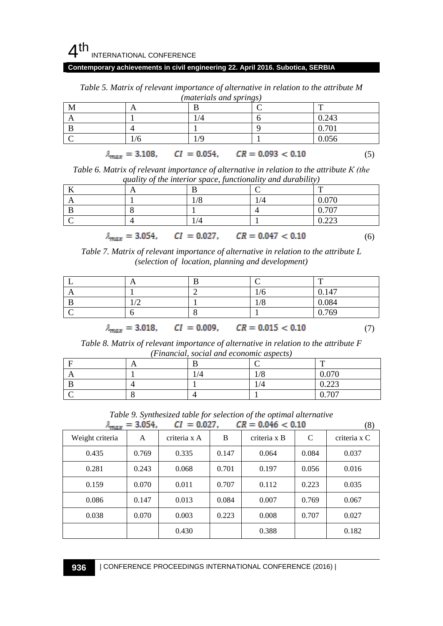

### **Contemporary achievements in civil engineering 22. April 2016. Subotica, SERBIA**

| M |                                                              |     | œ     |  |
|---|--------------------------------------------------------------|-----|-------|--|
| A |                                                              | 1/4 | 0.243 |  |
|   |                                                              |     | 0.701 |  |
|   | 1/6                                                          | 1/9 | 0.056 |  |
|   | $\lambda_{max} = 3.108$ , $CI = 0.054$ , $CR = 0.093 < 0.10$ |     |       |  |

*Table 5. Matrix of relevant importance of alternative in relation to the attribute M (materials and springs)*

| Table 6. Matrix of relevant importance of alternative in relation to the attribute $K$ (the |
|---------------------------------------------------------------------------------------------|
| quality of the interior space, functionality and durability)                                |

|  |     |                                                              | ᠇᠇    |
|--|-----|--------------------------------------------------------------|-------|
|  | 1/8 | 1/4                                                          | 0.070 |
|  |     |                                                              | 0.707 |
|  | 1/4 |                                                              | 0.223 |
|  |     | $\lambda_{max} = 3.054$ , $CI = 0.027$ , $CR = 0.047 < 0.10$ | O     |

*Table 7. Matrix of relevant importance of alternative in relation to the attribute L (selection of location, planning and development)*

|  |     | $\mathbf{r}$ |
|--|-----|--------------|
|  | 1/0 | 0.147        |
|  | 1/8 | 0.084        |
|  |     | 0.769<br>v.  |

$$
\lambda_{max} = 3.018, \qquad CI = 0.009, \qquad CR = 0.015 < 0.10 \tag{7}
$$

 $(8)$ 

*Table 8. Matrix of relevant importance of alternative in relation to the attribute F (Financial, social and economic aspects)*

|  |                   | m                            |
|--|-------------------|------------------------------|
|  | $\sqrt{O}$<br>1/0 | 0.070<br>$v \cdot v \cdot v$ |
|  | 1/4               | 0.222<br>0.44J               |
|  |                   | $\sqrt{20}$                  |

*Table 9. Synthesized table for selection of the optimal alternative*<br> $I = 3.054$   $CI = 0.027$   $CR = 0.046 < 0.10$ 

|                 | $A_{max} = 3.034$ , | $CI = 0.027$ . |       | $c_R = 0.040 \leq 0.10$ |              | (8)          |
|-----------------|---------------------|----------------|-------|-------------------------|--------------|--------------|
| Weight criteria | A                   | criteria x A   | B     | criteria x B            | $\mathsf{C}$ | criteria x C |
| 0.435           | 0.769               | 0.335          | 0.147 | 0.064                   | 0.084        | 0.037        |
| 0.281           | 0.243               | 0.068          | 0.701 | 0.197                   | 0.056        | 0.016        |
| 0.159           | 0.070               | 0.011          | 0.707 | 0.112                   | 0.223        | 0.035        |
| 0.086           | 0.147               | 0.013          | 0.084 | 0.007                   | 0.769        | 0.067        |
| 0.038           | 0.070               | 0.003          | 0.223 | 0.008                   | 0.707        | 0.027        |
|                 |                     | 0.430          |       | 0.388                   |              | 0.182        |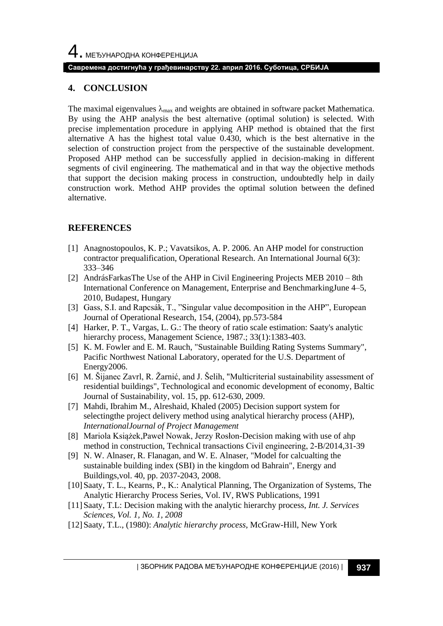### **4. CONCLUSION**

The maximal eigenvalues  $\lambda_{\text{max}}$  and weights are obtained in software packet Mathematica. By using the AHP analysis the best alternative (optimal solution) is selected. With precise implementation procedure in applying AHP method is obtained that the first alternative A has the highest total value 0.430, which is the best alternative in the selection of construction project from the perspective of the sustainable development. Proposed AHP method can be successfully applied in decision-making in different segments of civil engineering. The mathematical and in that way the objective methods that support the decision making process in construction, undoubtedly help in daily construction work. Method AHP provides the optimal solution between the defined alternative.

### **REFERENCES**

- [1] Anagnostopoulos, K. P.; Vavatsikos, A. P. 2006. An AHP model for construction contractor prequalification, Operational Research. An International Journal 6(3): 333–346
- [2] AndrásFarkasThe Use of the AHP in Civil Engineering Projects MEB 2010 8th International Conference on Management, Enterprise and BenchmarkingJune 4–5, 2010, Budapest, Hungary
- [3] Gass, S.I. and Rapcsák, T., "Singular value decomposition in the AHP", European Journal of Operational Research, 154, (2004), pp.573-584
- [4] Harker, P. T., Vargas, L. G.: The theory of ratio scale estimation: Saaty's analytic hierarchy process, Management Science, 1987.; 33(1):1383-403.
- [5] K. M. Fowler and E. M. Rauch, "Sustainable Building Rating Systems Summary", Pacific Northwest National Laboratory, operated for the U.S. Department of Energy2006.
- [6] M. Šijanec Zavrl, R. Žarnić, and J. Šelih, "Multicriterial sustainability assessment of residential buildings", Technological and economic development of economy, Baltic Journal of Sustainability, vol. 15, pp. 612-630, 2009.
- [7] Mahdi, Ibrahim M., Alreshaid, Khaled (2005) Decision support system for selectingthe project delivery method using analytical hierarchy process (AHP), *InternationalJournal of Project Management*
- [8] Мariola Książek,Paweł Nowak, Jerzy Rosłon-Decision making with use of ahp method in construction, Technical transactions Сivil engineering, 2-B/2014,31-39
- [9] N. W. Alnaser, R. Flanagan, and W. E. Alnaser, "Model for calcualting the sustainable building index (SBI) in the kingdom od Bahrain", Energy and Buildings,vol. 40, pp. 2037-2043, 2008.
- [10]Saaty, T. L., Kearns, P., K.: Analytical Planning, The Organization of Systems, The Analytic Hierarchy Process Series, Vol. IV, RWS Publications, 1991
- [11]Saaty, T.L: Decision making with the analytic hierarchy process, *Int. J. Services Sciences, Vol. 1, No. 1, 2008*
- [12]Saaty, T.L., (1980): *Analytic hierarchy process*, McGraw-Hill, New York